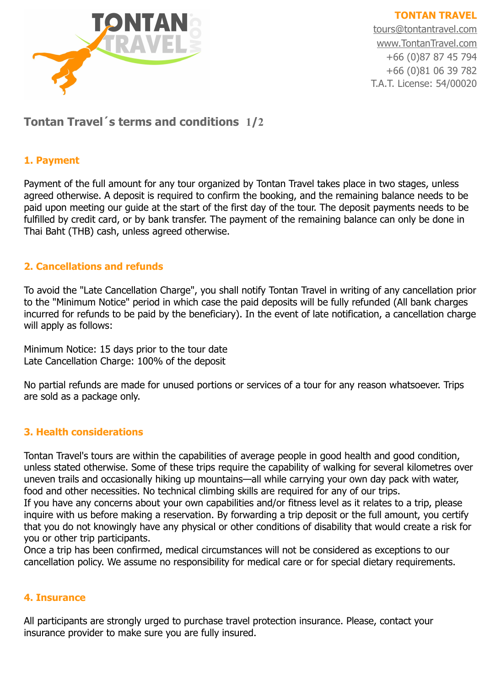

**TONTAN TRAVEL** [tours@tontantravel.com](mailto:tours@tontantravel.com) [www.TontanTravel.com](http://www.TonTanTravel.com/) +66 (0)87 87 45 794 +66 (0)81 06 39 782 T.A.T. License: 54/00020

# **Tontan Travel´s terms and conditions 1/2**

#### **1. Payment**

Payment of the full amount for any tour organized by Tontan Travel takes place in two stages, unless agreed otherwise. A deposit is required to confirm the booking, and the remaining balance needs to be paid upon meeting our guide at the start of the first day of the tour. The deposit payments needs to be fulfilled by credit card, or by bank transfer. The payment of the remaining balance can only be done in Thai Baht (THB) cash, unless agreed otherwise.

#### **2. Cancellations and refunds**

To avoid the "Late Cancellation Charge", you shall notify Tontan Travel in writing of any cancellation prior to the "Minimum Notice" period in which case the paid deposits will be fully refunded (All bank charges incurred for refunds to be paid by the beneficiary). In the event of late notification, a cancellation charge will apply as follows:

Minimum Notice: 15 days prior to the tour date Late Cancellation Charge: 100% of the deposit

No partial refunds are made for unused portions or services of a tour for any reason whatsoever. Trips are sold as a package only.

## **3. Health considerations**

Tontan Travel's tours are within the capabilities of average people in good health and good condition, unless stated otherwise. Some of these trips require the capability of walking for several kilometres over uneven trails and occasionally hiking up mountains—all while carrying your own day pack with water, food and other necessities. No technical climbing skills are required for any of our trips.

If you have any concerns about your own capabilities and/or fitness level as it relates to a trip, please inquire with us before making a reservation. By forwarding a trip deposit or the full amount, you certify that you do not knowingly have any physical or other conditions of disability that would create a risk for you or other trip participants.

Once a trip has been confirmed, medical circumstances will not be considered as exceptions to our cancellation policy. We assume no responsibility for medical care or for special dietary requirements.

#### **4. Insurance**

All participants are strongly urged to purchase travel protection insurance. Please, contact your insurance provider to make sure you are fully insured.